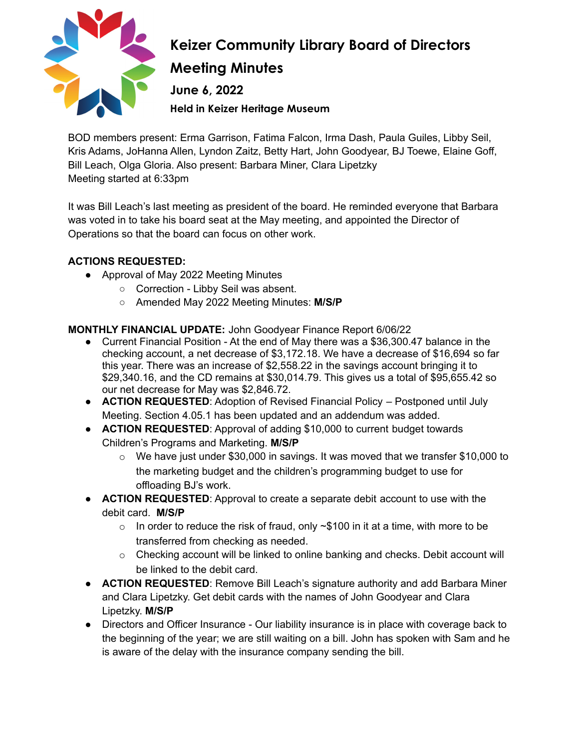

## **Keizer Community Library Board of Directors Meeting Minutes June 6, 2022 Held in Keizer Heritage Museum**

BOD members present: Erma Garrison, Fatima Falcon, Irma Dash, Paula Guiles, Libby Seil, Kris Adams, JoHanna Allen, Lyndon Zaitz, Betty Hart, John Goodyear, BJ Toewe, Elaine Goff, Bill Leach, Olga Gloria. Also present: Barbara Miner, Clara Lipetzky Meeting started at 6:33pm

It was Bill Leach's last meeting as president of the board. He reminded everyone that Barbara was voted in to take his board seat at the May meeting, and appointed the Director of Operations so that the board can focus on other work.

#### **ACTIONS REQUESTED:**

- Approval of May 2022 Meeting Minutes
	- Correction Libby Seil was absent.
	- Amended May 2022 Meeting Minutes: **M/S/P**

#### **MONTHLY FINANCIAL UPDATE:** John Goodyear Finance Report 6/06/22

- Current Financial Position At the end of May there was a \$36,300.47 balance in the checking account, a net decrease of \$3,172.18. We have a decrease of \$16,694 so far this year. There was an increase of \$2,558.22 in the savings account bringing it to \$29,340.16, and the CD remains at \$30,014.79. This gives us a total of \$95,655.42 so our net decrease for May was \$2,846.72.
- **ACTION REQUESTED**: Adoption of Revised Financial Policy Postponed until July Meeting. Section 4.05.1 has been updated and an addendum was added.
- **ACTION REQUESTED**: Approval of adding \$10,000 to current budget towards Children's Programs and Marketing. **M/S/P**
	- o We have just under \$30,000 in savings. It was moved that we transfer \$10,000 to the marketing budget and the children's programming budget to use for offloading BJ's work.
- **ACTION REQUESTED**: Approval to create a separate debit account to use with the debit card. **M/S/P**
	- $\circ$  In order to reduce the risk of fraud, only  $\sim$ \$100 in it at a time, with more to be transferred from checking as needed.
	- o Checking account will be linked to online banking and checks. Debit account will be linked to the debit card.
- **ACTION REQUESTED**: Remove Bill Leach's signature authority and add Barbara Miner and Clara Lipetzky. Get debit cards with the names of John Goodyear and Clara Lipetzky. **M/S/P**
- Directors and Officer Insurance Our liability insurance is in place with coverage back to the beginning of the year; we are still waiting on a bill. John has spoken with Sam and he is aware of the delay with the insurance company sending the bill.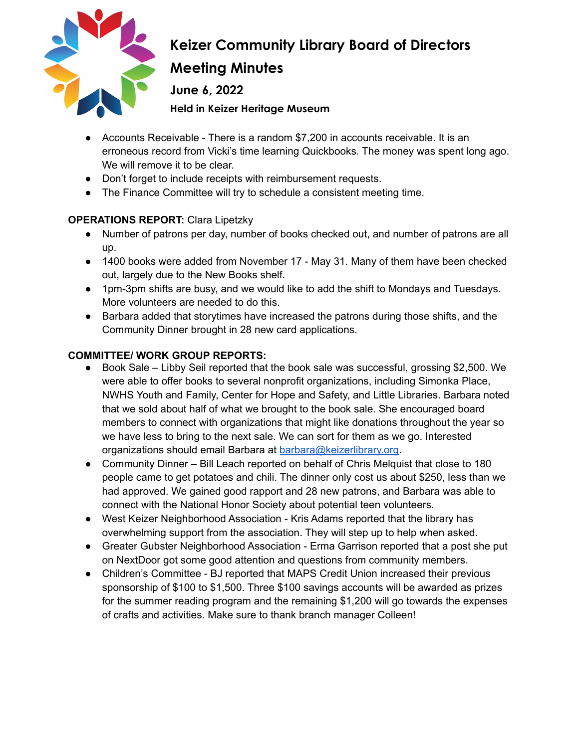

# **Keizer Community Library Board of Directors Meeting Minutes**

**June 6, 2022**

**Held in Keizer Heritage Museum**

- Accounts Receivable There is a random \$7,200 in accounts receivable. It is an erroneous record from Vicki's time learning Quickbooks. The money was spent long ago. We will remove it to be clear.
- Don't forget to include receipts with reimbursement requests.
- The Finance Committee will try to schedule a consistent meeting time.

### **OPERATIONS REPORT:** Clara Lipetzky

- Number of patrons per day, number of books checked out, and number of patrons are all up.
- 1400 books were added from November 17 May 31. Many of them have been checked out, largely due to the New Books shelf.
- 1pm-3pm shifts are busy, and we would like to add the shift to Mondays and Tuesdays. More volunteers are needed to do this.
- Barbara added that storytimes have increased the patrons during those shifts, and the Community Dinner brought in 28 new card applications.

### **COMMITTEE/ WORK GROUP REPORTS:**

- Book Sale Libby Seil reported that the book sale was successful, grossing \$2,500. We were able to offer books to several nonprofit organizations, including Simonka Place, NWHS Youth and Family, Center for Hope and Safety, and Little Libraries. Barbara noted that we sold about half of what we brought to the book sale. She encouraged board members to connect with organizations that might like donations throughout the year so we have less to bring to the next sale. We can sort for them as we go. Interested organizations should email Barbara at [barbara@keizerlibrary.org](mailto:barbara@keizerlibrary.org).
- Community Dinner Bill Leach reported on behalf of Chris Melquist that close to 180 people came to get potatoes and chili. The dinner only cost us about \$250, less than we had approved. We gained good rapport and 28 new patrons, and Barbara was able to connect with the National Honor Society about potential teen volunteers.
- West Keizer Neighborhood Association Kris Adams reported that the library has overwhelming support from the association. They will step up to help when asked.
- Greater Gubster Neighborhood Association Erma Garrison reported that a post she put on NextDoor got some good attention and questions from community members.
- Children's Committee BJ reported that MAPS Credit Union increased their previous sponsorship of \$100 to \$1,500. Three \$100 savings accounts will be awarded as prizes for the summer reading program and the remaining \$1,200 will go towards the expenses of crafts and activities. Make sure to thank branch manager Colleen!